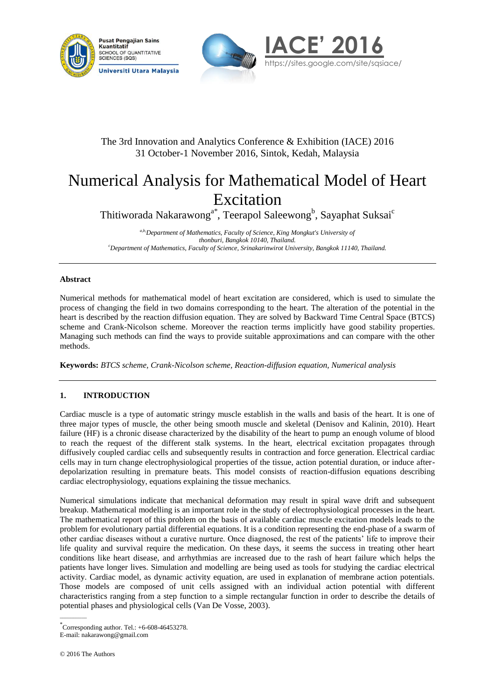





# The 3rd Innovation and Analytics Conference & Exhibition (IACE) 2016 31 October-1 November 2016, Sintok, Kedah, Malaysia

# Numerical Analysis for Mathematical Model of Heart Excitation

Thitiworada Nakarawong<sup>a\*</sup>, Teerapol Saleewong<sup>b</sup>, Sayaphat Suksai<sup>c</sup>

*a,b,Department of Mathematics, Faculty of Science, King Mongkut's University of thonburi, Bangkok 10140, Thailand. <sup>c</sup>Department of Mathematics, Faculty of Science, Srinakarinwirot University, Bangkok 11140, Thailand.*

### **Abstract**

Numerical methods for mathematical model of heart excitation are considered, which is used to simulate the process of changing the field in two domains corresponding to the heart. The alteration of the potential in the heart is described by the reaction diffusion equation. They are solved by Backward Time Central Space (BTCS) scheme and Crank-Nicolson scheme. Moreover the reaction terms implicitly have good stability properties. Managing such methods can find the ways to provide suitable approximations and can compare with the other methods.

**Keywords:** *BTCS scheme, Crank-Nicolson scheme, Reaction-diffusion equation, Numerical analysis*

# **1. INTRODUCTION**

Cardiac muscle is a type of automatic stringy muscle establish in the walls and basis of the heart. It is one of three major types of muscle, the other being smooth muscle and skeletal (Denisov and Kalinin, 2010). Heart failure (HF) is a chronic disease characterized by the disability of the heart to pump an enough volume of blood to reach the request of the different stalk systems. In the heart, electrical excitation propagates through diffusively coupled cardiac cells and subsequently results in contraction and force generation. Electrical cardiac cells may in turn change electrophysiological properties of the tissue, action potential duration, or induce afterdepolarization resulting in premature beats. This model consists of reaction-diffusion equations describing cardiac electrophysiology, equations explaining the tissue mechanics.

Numerical simulations indicate that mechanical deformation may result in spiral wave drift and subsequent breakup. Mathematical modelling is an important role in the study of electrophysiological processes in the heart. The mathematical report of this problem on the basis of available cardiac muscle excitation models leads to the problem for evolutionary partial differential equations. It is a condition representing the end-phase of a swarm of other cardiac diseases without a curative nurture. Once diagnosed, the rest of the patients' life to improve their life quality and survival require the medication. On these days, it seems the success in treating other heart conditions like heart disease, and arrhythmias are increased due to the rash of heart failure which helps the patients have longer lives. Simulation and modelling are being used as tools for studying the cardiac electrical activity. Cardiac model, as dynamic activity equation, are used in explanation of membrane action potentials. Those models are composed of unit cells assigned with an individual action potential with different characteristics ranging from a step function to a simple rectangular function in order to describe the details of potential phases and physiological cells (Van De Vosse, 2003).

 $\overline{\phantom{a}}$ 

<sup>\*</sup> Corresponding author. Tel.: +6-608-46453278. E-mail: nakarawong@gmail.com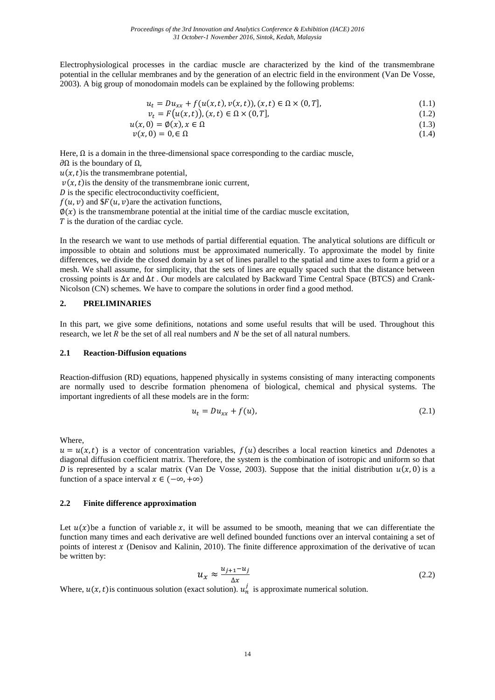Electrophysiological processes in the cardiac muscle are characterized by the kind of the transmembrane potential in the cellular membranes and by the generation of an electric field in the environment (Van De Vosse, 2003). A big group of monodomain models can be explained by the following problems:

$$
u_t = Du_{xx} + f(u(x,t), v(x,t)), (x,t) \in \Omega \times (0,T],
$$
\n(1.1)

$$
v_t = F(u(x, t)), (x, t) \in \Omega \times (0, T], \qquad (1.2)
$$

$$
u(x,0) = \emptyset(x), x \in \Omega \tag{1.3}
$$

$$
v(x,0) = 0, \in \Omega
$$
\n<sup>(1.4)</sup>

Here,  $\Omega$  is a domain in the three-dimensional space corresponding to the cardiac muscle,

 $\partial\Omega$  is the boundary of  $\Omega$ ,

 $u(x, t)$  is the transmembrane potential,

 $v(x, t)$  is the density of the transmembrane ionic current,

 $D$  is the specific electroconductivity coefficient,

 $f(u, v)$  and  $F(u, v)$  are the activation functions,

 $\varphi(x)$  is the transmembrane potential at the initial time of the cardiac muscle excitation,

 $T$  is the duration of the cardiac cycle.

In the research we want to use methods of partial differential equation. The analytical solutions are difficult or impossible to obtain and solutions must be approximated numerically. To approximate the model by finite differences, we divide the closed domain by a set of lines parallel to the spatial and time axes to form a grid or a mesh. We shall assume, for simplicity, that the sets of lines are equally spaced such that the distance between crossing points is  $\Delta x$  and  $\Delta t$ . Our models are calculated by Backward Time Central Space (BTCS) and Crank-Nicolson (CN) schemes. We have to compare the solutions in order find a good method.

#### **2. PRELIMINARIES**

In this part, we give some definitions, notations and some useful results that will be used. Throughout this research, we let R be the set of all real numbers and  $N$  be the set of all natural numbers.

#### **2.1 Reaction-Diffusion equations**

Reaction-diffusion (RD) equations, happened physically in systems consisting of many interacting components are normally used to describe formation phenomena of biological, chemical and physical systems. The important ingredients of all these models are in the form:

$$
u_t = Du_{xx} + f(u), \tag{2.1}
$$

Where,

 $u = u(x, t)$  is a vector of concentration variables,  $f(u)$  describes a local reaction kinetics and Ddenotes a diagonal diffusion coefficient matrix. Therefore, the system is the combination of isotropic and uniform so that D is represented by a scalar matrix (Van De Vosse, 2003). Suppose that the initial distribution  $u(x, 0)$  is a function of a space interval  $x \in (-\infty, +\infty)$ 

#### **2.2 Finite difference approximation**

Let  $u(x)$ be a function of variable x, it will be assumed to be smooth, meaning that we can differentiate the function many times and each derivative are well defined bounded functions over an interval containing a set of points of interest  $x$  (Denisov and Kalinin, 2010). The finite difference approximation of the derivative of  $ucan$ be written by:

$$
u_x \approx \frac{u_{j+1} - u_j}{\Delta x} \tag{2.2}
$$

Where,  $u(x, t)$  is continuous solution (exact solution).  $u_n^j$  is approximate numerical solution.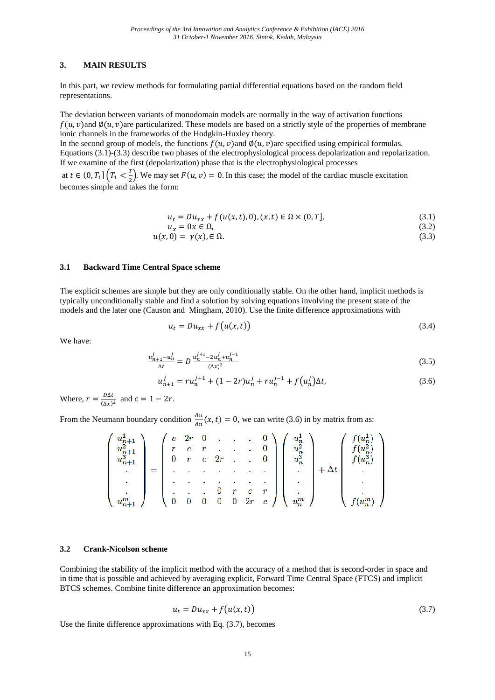#### **3. MAIN RESULTS**

In this part, we review methods for formulating partial differential equations based on the random field representations.

The deviation between variants of monodomain models are normally in the way of activation functions  $f(u, v)$ and  $\phi(u, v)$ are particularized. These models are based on a strictly style of the properties of membrane ionic channels in the frameworks of the Hodgkin-Huxley theory.

In the second group of models, the functions  $f(u, v)$  and  $\phi(u, v)$  are specified using empirical formulas. Equations (3.1)-(3.3) describe two phases of the electrophysiological process depolarization and repolarization. If we examine of the first (depolarization) phase that is the electrophysiological processes

at  $t \in (0, T_1]$   $\left(T_1 < \frac{T_1}{2}\right)$  $\frac{1}{2}$ ). We may set  $F(u, v) = 0$ . In this case; the model of the cardiac muscle excitation becomes simple and takes the form:

$$
u_t = Du_{xx} + f(u(x, t), 0), (x, t) \in \Omega \times (0, T],
$$
\n(3.1)

$$
u_x = 0x \in \Omega, \tag{3.2}
$$
\n
$$
u(x, 0) = u(x) \in \Omega \tag{3.3}
$$

$$
u(x,0) = \gamma(x), \in \Omega. \tag{3.3}
$$

#### **3.1 Backward Time Central Space scheme**

The explicit schemes are simple but they are only conditionally stable. On the other hand, implicit methods is typically unconditionally stable and find a solution by solving equations involving the present state of the models and the later one (Causon and Mingham, 2010). Use the finite difference approximations with

$$
u_t = Du_{xx} + f(u(x,t))
$$
\n(3.4)

We have:

$$
\frac{u_{n+1}^j - u_n^j}{\Delta t} = D \frac{u_n^{j+1} - 2u_n^j + u_n^{j-1}}{(\Delta x)^2} \tag{3.5}
$$

$$
u_{n+1}^j = ru_n^{j+1} + (1 - 2r)u_n^j + ru_n^{j-1} + f(u_n^j)\Delta t,\tag{3.6}
$$

Where,  $r = \frac{D}{\omega}$  $\frac{\partial \Delta t}{(\Delta x)^2}$  and  $c = 1 - 2r$ .

From the Neumann boundary condition  $\frac{\partial u}{\partial n}(x,t) = 0$ , we can write (3.6) in by matrix from as:

|         | c  | 2r                      |   |    | ٠      |    |         |  |
|---------|----|-------------------------|---|----|--------|----|---------|--|
| $u^2$ . | r. | $\mathbf{c}$            |   |    | ٠      | 0. |         |  |
| $u^3$ . |    | $\mathbf{r}$            | c | 2r | ä,     |    |         |  |
| ٠       |    |                         |   |    | ٠      |    |         |  |
| ٠       |    |                         |   |    |        |    |         |  |
|         |    |                         |   |    | c      |    | ٠       |  |
|         |    | $\overline{\mathbf{0}}$ |   |    | $2r$ c |    | $u_n^m$ |  |

#### **3.2 Crank-Nicolson scheme**

Combining the stability of the implicit method with the accuracy of a method that is second-order in space and in time that is possible and achieved by averaging explicit, Forward Time Central Space (FTCS) and implicit BTCS schemes. Combine finite difference an approximation becomes:

$$
u_t = Du_{xx} + f(u(x,t))
$$
\n(3.7)

Use the finite difference approximations with Eq. (3.7), becomes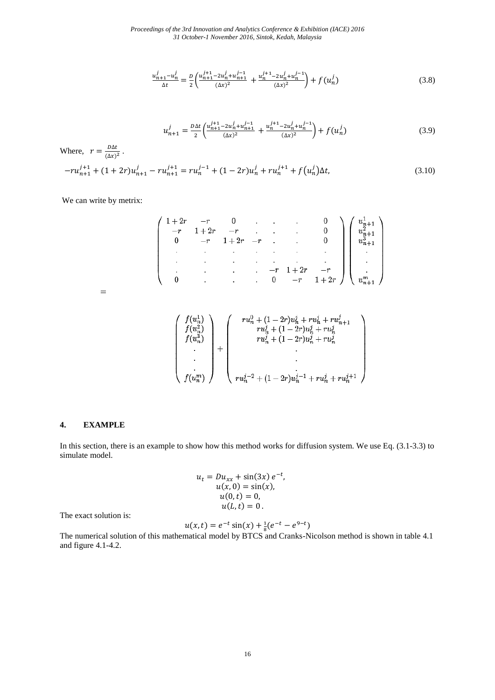*Proceedings of the 3rd Innovation and Analytics Conference & Exhibition (IACE) 2016 31 October-1 November 2016, Sintok, Kedah, Malaysia*

$$
\frac{u_{n+1}^j - u_n^j}{\Delta t} = \frac{D}{2} \left( \frac{u_{n+1}^{j+1} - 2u_n^j + u_{n+1}^{j-1}}{(\Delta x)^2} + \frac{u_n^{j+1} - 2u_n^j + u_n^{j-1}}{(\Delta x)^2} \right) + f(u_n^j)
$$
(3.8)

$$
u_{n+1}^j = \frac{D\Delta t}{2} \left( \frac{u_{n+1}^{j+1} - 2u_n^j + u_{n+1}^{j-1}}{(\Delta x)^2} + \frac{u_n^{j+1} - 2u_n^j + u_n^{j-1}}{(\Delta x)^2} \right) + f(u_n^j)
$$
(3.9)

Where,  $r = \frac{D}{\omega}$  $\frac{D\Delta t}{(\Delta x)^2}$ .  $-ru_{n+1}^{j+1} + (1+2r)u_{n+1}^{j} - ru_{n+1}^{j+1} = ru_n^{j-1} + (1-2r)u_n^{j} + ru_n^{j+1} + f(u_n^{j})$ ) (3.10)

We can write by metrix:

$$
\;=\;
$$

$$
\left(\begin{array}{c} f(u_n^1) \\ f(u_n^2) \\ f(u_n^3) \\ \cdot \\ \cdot \\ \cdot \\ f(u_n^m) \end{array}\right) + \left(\begin{array}{c} r u_n^0 + (1-2r) u_n^j + r u_n^j + r u_{n+1}^j \\ r u_n^j + (1-2r) u_n^j + r u_n^j \\ r u_n^j + (1-2r) u_n^j + r u_n^j \\ \cdot \\ \cdot \\ \cdot \\ \cdot \\ r u_n^{j-2} + (1-2r) u_n^{j-1} + r u_n^j + r u_n^{j+1} \end{array}\right)
$$

#### **4. EXAMPLE**

In this section, there is an example to show how this method works for diffusion system. We use Eq. (3.1-3.3) to simulate model.

$$
u_t = Du_{xx} + \sin(3x) e^{-t},
$$
  
\n
$$
u(x, 0) = \sin(x),
$$
  
\n
$$
u(0, t) = 0,
$$
  
\n
$$
u(L, t) = 0.
$$

The exact solution is:

$$
u(x,t) = e^{-t} \sin(x) + \frac{1}{8}(e^{-t} - e^{9-t})
$$

The numerical solution of this mathematical model by BTCS and Cranks-Nicolson method is shown in table 4.1 and figure 4.1-4.2.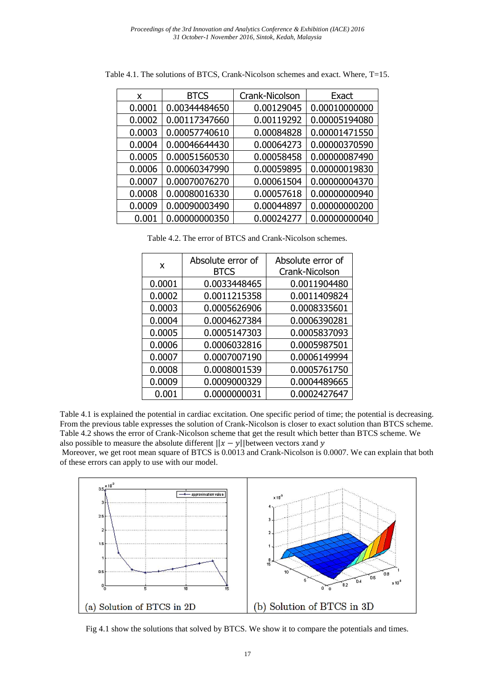| x      | <b>BTCS</b>   | Crank-Nicolson | Exact         |
|--------|---------------|----------------|---------------|
| 0.0001 | 0.00344484650 | 0.00129045     | 0.00010000000 |
| 0.0002 | 0.00117347660 | 0.00119292     | 0.00005194080 |
| 0.0003 | 0.00057740610 | 0.00084828     | 0.00001471550 |
| 0.0004 | 0.00046644430 | 0.00064273     | 0.00000370590 |
| 0.0005 | 0.00051560530 | 0.00058458     | 0.00000087490 |
| 0.0006 | 0.00060347990 | 0.00059895     | 0.00000019830 |
| 0.0007 | 0.00070076270 | 0.00061504     | 0.00000004370 |
| 0.0008 | 0.00080016330 | 0.00057618     | 0.00000000940 |
| 0.0009 | 0.00090003490 | 0.00044897     | 0.00000000200 |
| 0.001  | 0.00000000350 | 0.00024277     | 0.00000000040 |

Table 4.1. The solutions of BTCS, Crank-Nicolson schemes and exact. Where, T=15.

Table 4.2. The error of BTCS and Crank-Nicolson schemes.

| X      | Absolute error of<br><b>BTCS</b> | Absolute error of<br>Crank-Nicolson |
|--------|----------------------------------|-------------------------------------|
| 0.0001 | 0.0033448465                     | 0.0011904480                        |
| 0.0002 | 0.0011215358                     | 0.0011409824                        |
| 0.0003 | 0.0005626906                     | 0.0008335601                        |
| 0.0004 | 0.0004627384                     | 0.0006390281                        |
| 0.0005 | 0.0005147303                     | 0.0005837093                        |
| 0.0006 | 0.0006032816                     | 0.0005987501                        |
| 0.0007 | 0.0007007190                     | 0.0006149994                        |
| 0.0008 | 0.0008001539                     | 0.0005761750                        |
| 0.0009 | 0.0009000329                     | 0.0004489665                        |
| 0.001  | 0.0000000031                     | 0.0002427647                        |

Table 4.1 is explained the potential in cardiac excitation. One specific period of time; the potential is decreasing. From the previous table expresses the solution of Crank-Nicolson is closer to exact solution than BTCS scheme. Table 4.2 shows the error of Crank-Nicolson scheme that get the result which better than BTCS scheme. We also possible to measure the absolute different  $||x - y||$  between vectors x and y

Moreover, we get root mean square of BTCS is 0.0013 and Crank-Nicolson is 0.0007. We can explain that both of these errors can apply to use with our model.



Fig 4.1 show the solutions that solved by BTCS. We show it to compare the potentials and times.